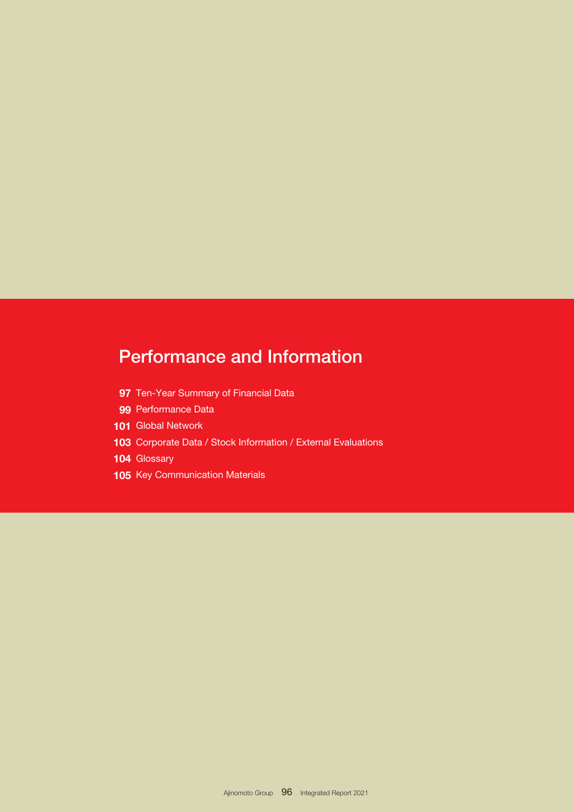# Performance and Information

- 97 Ten-Year Summary of Financial Data
- 99 Performance Data
- 101 Global Network
- 103 Corporate Data / Stock Information / External Evaluations
- 104 Glossary
- 105 Key Communication Materials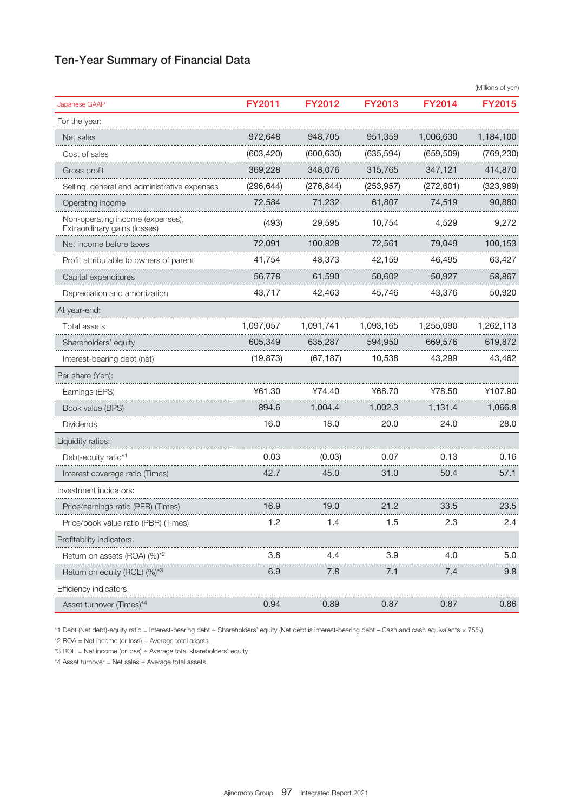# Ten-Year Summary of Financial Data

|                                                                  |               |               |               |               | (Millions of yen) |
|------------------------------------------------------------------|---------------|---------------|---------------|---------------|-------------------|
| Japanese GAAP                                                    | <b>FY2011</b> | <b>FY2012</b> | <b>FY2013</b> | <b>FY2014</b> | <b>FY2015</b>     |
| For the year:                                                    |               |               |               |               |                   |
| Net sales                                                        | 972,648       | 948,705       | 951,359       | 1,006,630     | 1,184,100         |
| Cost of sales                                                    | (603, 420)    | (600, 630)    | (635, 594)    | (659, 509)    | (769, 230)        |
| Gross profit                                                     | 369,228       | 348,076       | 315,765       | 347,121       | 414,870           |
| Selling, general and administrative expenses                     | (296, 644)    | (276, 844)    | (253, 957)    | (272, 601)    | (323, 989)        |
| Operating income                                                 | 72,584        | 71,232        | 61,807        | 74,519        | 90,880            |
| Non-operating income (expenses),<br>Extraordinary gains (losses) | (493)         | 29,595        | 10,754        | 4,529         | 9,272             |
| Net income before taxes                                          | 72,091        | 100,828       | 72,561        | 79,049        | 100,153           |
| Profit attributable to owners of parent                          | 41,754        | 48,373        | 42,159        | 46,495        | 63,427            |
| Capital expenditures                                             | 56,778        | 61,590        | 50,602        | 50,927        | 58,867            |
| Depreciation and amortization                                    | 43,717        | 42,463        | 45,746        | 43,376        | 50,920            |
| At year-end:                                                     |               |               |               |               |                   |
| Total assets                                                     | 1,097,057     | 1,091,741     | 1,093,165     | 1,255,090     | 1,262,113         |
| Shareholders' equity                                             | 605,349       | 635,287       | 594,950       | 669,576       | 619,872           |
| Interest-bearing debt (net)                                      | (19, 873)     | (67, 187)     | 10,538        | 43,299        | 43,462            |
| Per share (Yen):                                                 |               |               |               |               |                   |
| Earnings (EPS)                                                   | ¥61.30        | ¥74.40        | ¥68.70        | ¥78.50        | ¥107.90           |
| Book value (BPS)                                                 | 894.6         | 1,004.4       | 1,002.3       | 1,131.4       | 1,066.8           |
| <b>Dividends</b>                                                 | 16.0          | 18.0          | 20.0          | 24.0          | 28.0              |
| Liquidity ratios:                                                |               |               |               |               |                   |
| Debt-equity ratio*1                                              | 0.03          | (0.03)        | 0.07          | 0.13          | 0.16              |
| Interest coverage ratio (Times)                                  | 42.7          | 45.0          | 31.0          | 50.4          | 57.1              |
| Investment indicators:                                           |               |               |               |               |                   |
| Price/earnings ratio (PER) (Times)                               | 16.9          | 19.0          | 21.2          | 33.5          | 23.5              |
| Price/book value ratio (PBR) (Times)                             | 1.2           | 1.4           | 1.5           | 2.3           | 2.4               |
| Profitability indicators:                                        |               |               |               |               |                   |
| Return on assets (ROA) (%) <sup>*2</sup>                         | 3.8           | 4.4           | 3.9           | 4.0           | 5.0               |
| Return on equity (ROE) (%) <sup>*3</sup>                         | 6.9           | 7.8           | 7.1           | 7.4           | 9.8               |
| Efficiency indicators:                                           |               |               |               |               |                   |
| Asset turnover (Times)*4                                         | 0.94          | 0.89          | 0.87          | 0.87          | 0.86              |

\*1 Debt (Net debt)-equity ratio = Interest-bearing debt ÷ Shareholders' equity (Net debt is interest-bearing debt – Cash and cash equivalents × 75%)

\*2 ROA = Net income (or loss) ÷ Average total assets

\*3 ROE = Net income (or loss) ÷ Average total shareholders' equity

\*4 Asset turnover = Net sales ÷ Average total assets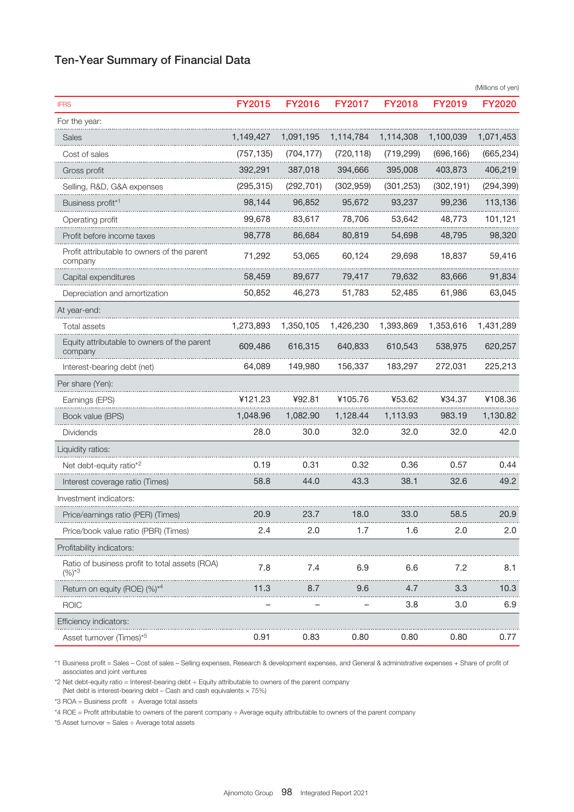# Ten-Year Summary of Financial Data

|                                                              |               |               |               |               |            | (Millions of yen) |
|--------------------------------------------------------------|---------------|---------------|---------------|---------------|------------|-------------------|
| <b>IFRS</b>                                                  | <b>FY2015</b> | <b>FY2016</b> | <b>FY2017</b> | <b>FY2018</b> | FY2019     | <b>FY2020</b>     |
| For the year:                                                |               |               |               |               |            |                   |
| Sales                                                        | 1,149,427     | 1,091,195     | 1,114,784     | 1,114,308     | 1,100,039  | 1,071,453         |
| Cost of sales                                                | (757, 135)    | (704, 177)    | (720, 118)    | (719, 299)    | (696, 166) | (665, 234)        |
| Gross profit                                                 | 392,291       | 387,018       | 394,666       | 395,008       | 403,873    | 406,219           |
| Selling, R&D, G&A expenses                                   | (295, 315)    | (292, 701)    | (302, 959)    | (301, 253)    | (302, 191) | (294, 399)        |
| Business profit <sup>*1</sup>                                | 98,144        | 96,852        | 95,672        | 93,237        | 99,236     | 113,136           |
| Operating profit                                             | 99,678        | 83,617        | 78,706        | 53,642        | 48,773     | 101,121           |
| Profit before income taxes                                   | 98,778        | 86,684        | 80,819        | 54,698        | 48,795     | 98,320            |
| Profit attributable to owners of the parent<br>company       | 71,292        | 53,065        | 60,124        | 29,698        | 18,837     | 59,416            |
| Capital expenditures                                         | 58,459        | 89,677        | 79,417        | 79,632        | 83,666     | 91,834            |
| Depreciation and amortization                                | 50,852        | 46,273        | 51,783        | 52,485        | 61,986     | 63,045            |
| At year-end:                                                 |               |               |               |               |            |                   |
| Total assets                                                 | 1,273,893     | 1,350,105     | 1,426,230     | 1,393,869     | 1,353,616  | 1,431,289         |
| Equity attributable to owners of the parent<br>company       | 609,486       | 616,315       | 640,833       | 610,543       | 538,975    | 620,257           |
| Interest-bearing debt (net)                                  | 64,089        | 149,980       | 156,337       | 183,297       | 272,031    | 225,213           |
| Per share (Yen):                                             |               |               |               |               |            |                   |
| Earnings (EPS)                                               | ¥121.23       | ¥92.81        | ¥105.76       | ¥53.62        | ¥34.37     | ¥108.36           |
| Book value (BPS)                                             | 1,048.96      | 1,082.90      | 1,128.44      | 1,113.93      | 983.19     | 1,130.82          |
| Dividends                                                    | 28.0          | 30.0          | 32.0          | 32.0          | 32.0       | 42.0              |
| Liquidity ratios:                                            |               |               |               |               |            |                   |
| Net debt-equity ratio <sup><math>*2</math></sup>             | 0.19          | 0.31          | 0.32          | 0.36          | 0.57       | 0.44              |
| Interest coverage ratio (Times)                              | 58.8          | 44.0          | 43.3          | 38.1          | 32.6       | 49.2              |
| Investment indicators:                                       |               |               |               |               |            |                   |
| Price/earnings ratio (PER) (Times)                           | 20.9          | 23.7          | 18.0          | 33.0          | 58.5       | 20.9              |
| Price/book value ratio (PBR) (Times)                         | 2.4           | 2.0           | 1.7           | 1.6           | 2.0        | 2.0               |
| Profitability indicators:                                    |               |               |               |               |            |                   |
| Ratio of business profit to total assets (ROA)<br>$(%)^{*3}$ | 7.8           | 7.4           | 6.9           | 6.6           | 7.2        | 8.1               |
| Return on equity (ROE) $(%)^{*4}$                            | 11.3          | 8.7           | 9.6           | 4.7           | 3.3        | 10.3              |
| <b>ROIC</b>                                                  |               |               |               | 3.8           | 3.0        | 6.9               |
| Efficiency indicators:                                       |               |               |               |               |            |                   |
| Asset turnover (Times) <sup>*5</sup>                         | 0.91          | 0.83          | 0.80          | 0.80          | 0.80       | 0.77              |

\*1 Business profit = Sales – Cost of sales – Selling expenses, Research & development expenses, and General & administrative expenses + Share of profit of associates and joint ventures

\*2 Net debt-equity ratio = Interest-bearing debt ÷ Equity attributable to owners of the parent company

(Net debt is interest-bearing debt – Cash and cash equivalents  $\times$  75%)

 $*3$  ROA = Business profit  $\div$  Average total assets

\*4 ROE = Profit attributable to owners of the parent company ÷ Average equity attributable to owners of the parent company

\*5 Asset turnover = Sales ÷ Average total assets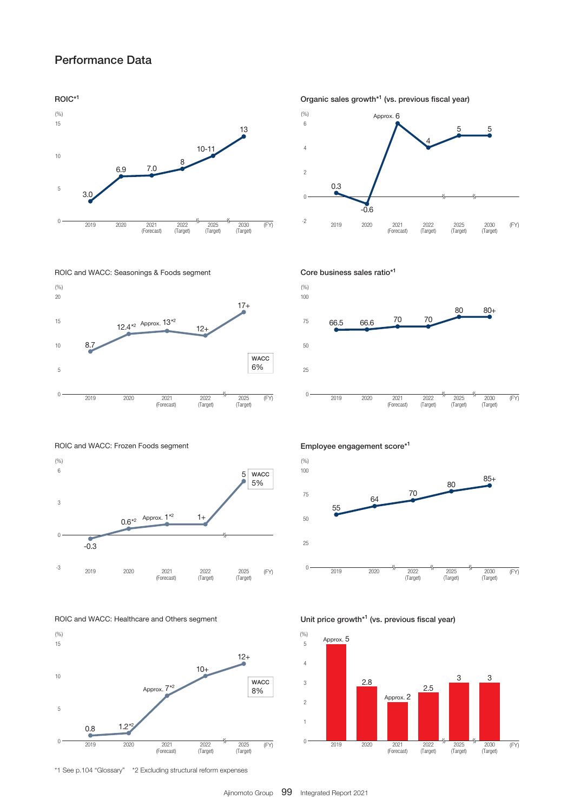# Performance Data

#### ROIC\*1



#### ROIC and WACC: Seasonings & Foods segment



Organic sales growth\*1 (vs. previous fiscal year)





ROIC and WACC: Frozen Foods segment







\*1 See p.104 "Glossary" \*2 Excluding structural reform expenses

Employee engagement score\*1



Unit price growth\*1 (vs. previous fiscal year)

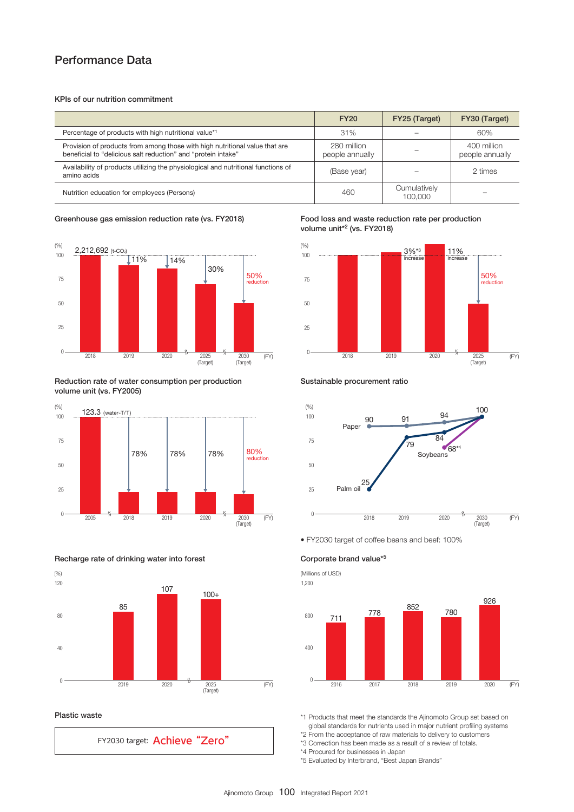# Performance Data

#### KPIs of our nutrition commitment

|                                                                                                                                              | <b>FY20</b>                    | FY25 (Target)           | FY30 (Target)                  |
|----------------------------------------------------------------------------------------------------------------------------------------------|--------------------------------|-------------------------|--------------------------------|
| Percentage of products with high nutritional value*1                                                                                         | 31%                            |                         | 60%                            |
| Provision of products from among those with high nutritional value that are<br>beneficial to "delicious salt reduction" and "protein intake" | 280 million<br>people annually |                         | 400 million<br>people annually |
| Availability of products utilizing the physiological and nutritional functions of<br>amino acids                                             | (Base year)                    |                         | 2 times                        |
| Nutrition education for employees (Persons)                                                                                                  | 460                            | Cumulatively<br>100,000 |                                |

#### Greenhouse gas emission reduction rate (vs. FY2018)



Reduction rate of water consumption per production volume unit (vs. FY2005)



#### Recharge rate of drinking water into forest



#### Plastic waste

FY2030 target: Achieve "Zero"

Food loss and waste reduction rate per production volume unit<sup>\*2</sup> (vs. FY2018)



#### Sustainable procurement ratio



• FY2030 target of coffee beans and beef: 100%

### Corporate brand value\*5

(Millions of USD) 1,200



\*1 Products that meet the standards the Ajinomoto Group set based on global standards for nutrients used in major nutrient profiling systems

\*2 From the acceptance of raw materials to delivery to customers

\*3 Correction has been made as a result of a review of totals.

\*4 Procured for businesses in Japan

\*5 Evaluated by Interbrand, "Best Japan Brands"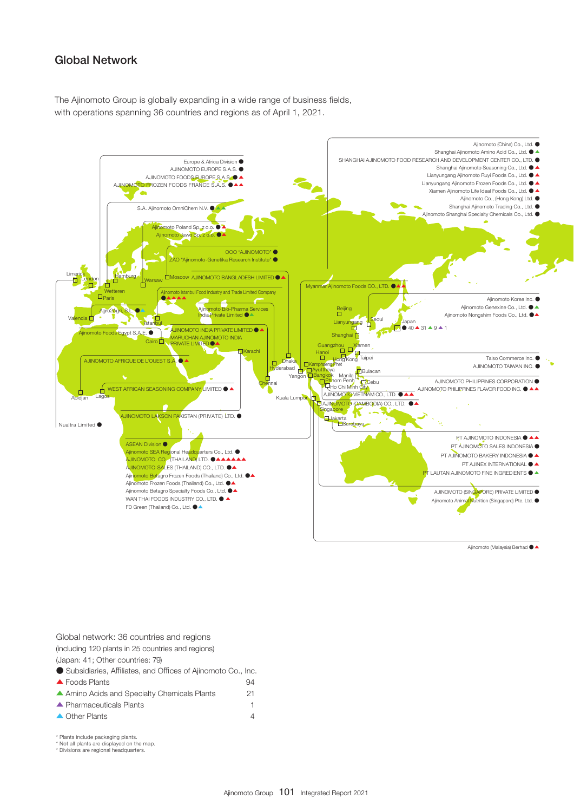## Global Network

The Ajinomoto Group is globally expanding in a wide range of business fields, with operations spanning 36 countries and regions as of April 1, 2021.



Ajinomoto (Malaysia) Berhad ●▲ Ajinomoto (Malaysia) Berhad ●▲

| Global network: 36 countries and regions                     |    |
|--------------------------------------------------------------|----|
| (including 120 plants in 25 countries and regions)           |    |
| (Japan: 41; Other countries: 79)                             |    |
| Subsidiaries, Affiliates, and Offices of Ajinomoto Co., Inc. |    |
| $\triangle$ Foods Plants                                     | 94 |
| ▲ Amino Acids and Specialty Chemicals Plants                 | 21 |
| $\blacktriangle$ Pharmaceuticals Plants                      |    |
| ▲ Other Plants                                               |    |

\* Plants include packaging plants. \* Plants include packaging plants.

\* Not all plants are displayed on the map. \* Divisions are regional headquarters. \* Not all plants are displayed on the map. \* Divisions are regional headquarters.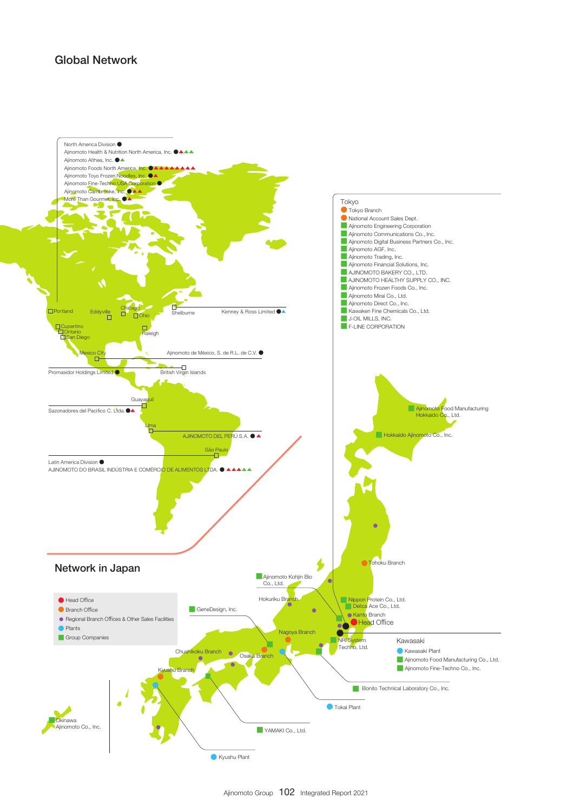# Global Network

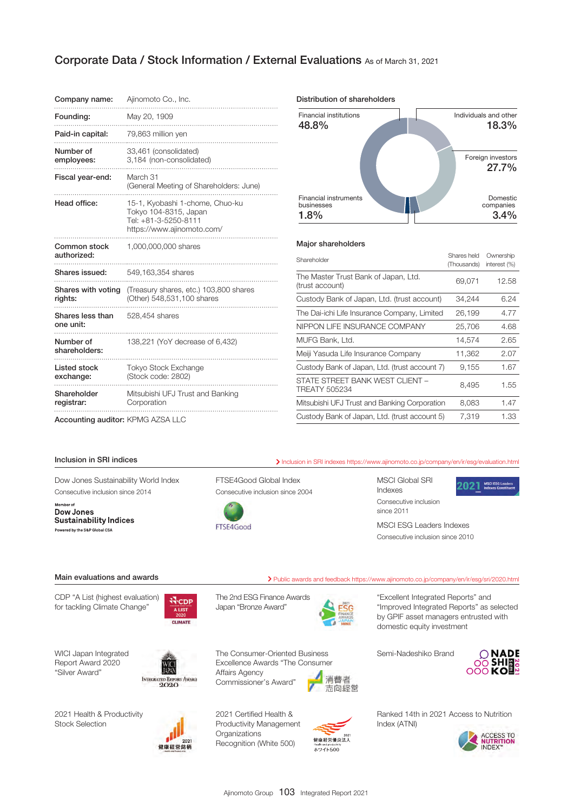## Corporate Data / Stock Information / External Evaluations As of March 31, 2021

| Company name:                 | Ajinomoto Co., Inc.                                                                                            |
|-------------------------------|----------------------------------------------------------------------------------------------------------------|
| Founding:                     | May 20, 1909                                                                                                   |
| Paid-in capital:              | 79,863 million yen                                                                                             |
| Number of<br>employees:       | 33,461 (consolidated)<br>3,184 (non-consolidated)                                                              |
| Fiscal year-end:              | March 31<br>(General Meeting of Shareholders: June)                                                            |
| Head office:                  | 15-1, Kyobashi 1-chome, Chuo-ku<br>Tokyo 104-8315, Japan<br>Tel: +81-3-5250-8111<br>https://www.ajinomoto.com/ |
| Common stock<br>authorized:   | 1,000,000,000 shares                                                                                           |
| Shares issued:                | 549,163,354 shares                                                                                             |
| Shares with voting<br>rights: | (Treasury shares, etc.) 103,800 shares<br>(Other) 548,531,100 shares                                           |
| Shares less than<br>one unit: | 528,454 shares                                                                                                 |
| Number of<br>shareholders:    | 138,221 (YoY decrease of 6,432)                                                                                |
| Listed stock<br>exchange:     | <b>Tokyo Stock Exchange</b><br>(Stock code: 2802)                                                              |
| Shareholder<br>registrar:     | Mitsubishi UFJ Trust and Banking<br>Corporation                                                                |

Distribution of shareholders



#### Major shareholders

| Shareholder                                      | Shares held<br>(Thousands) | Ownership<br>interest (%) |
|--------------------------------------------------|----------------------------|---------------------------|
| The Master Trust Bank of Japan, Ltd.             | 69,071                     |                           |
| (trust account)                                  |                            | 12.58                     |
| Custody Bank of Japan, Ltd. (trust account)      | 34,244                     | 6.24                      |
| The Dai-ichi Life Insurance Company, Limited     | 26,199                     | 4.77                      |
| NIPPON LIFE INSURANCE COMPANY                    | 25,706                     | 4.68                      |
| MUFG Bank, Ltd.                                  | 14,574                     | 2.65                      |
| Meiji Yasuda Life Insurance Company              | 11,362                     | 2.07                      |
| Custody Bank of Japan, Ltd. (trust account 7)    | 9.155                      | 1.67                      |
| STATE STREET BANK WEST CLIENT -<br>TREATY 505234 | 8,495                      | 1.55                      |
| Mitsubishi UFJ Trust and Banking Corporation     | 8,083                      | 1.47                      |
| Custody Bank of Japan, Ltd. (trust account 5)    | 7.319                      | 1.33                      |

Accounting auditor: KPMG AZSA LLC

Dow Jones Sustainability World Index Consecutive inclusion since 2014

Member of Dow Jones Sustainability Indices Powered by the S&P Global CSA

FTSE4Good Global Index Consecutive inclusion since 2004



Inclusion in SRI indices **Inclusion in SRI indexes<https://www.ajinomoto.co.jp/company/en/ir/esg/evaluation.html>** 

MSCI Global SRI Indexes Consecutive inclusion since 2011



MSCI ESG Leaders Indexes Consecutive inclusion since 2010

### Main evaluations and awards **Public awards** Public awards and feedback<https://www.ajinomoto.co.jp/company/en/ir/esg/sri/2020.html>

CDP "A List (highest evaluation) for tackling Climate Change"

**N**CDP **ALIST** CLIMATE



The Consumer-Oriented Business Excellence Awards "The Consumer



消費者 志向経営 "Excellent Integrated Reports" and "Improved Integrated Reports" as selected by GPIF asset managers entrusted with domestic equity investment

Semi-Nadeshiko Brand



2021 Health & Productivity Stock Selection

WICI Japan Integrated Report Award 2020 "Silver Award"



**INTECRATED REPORT AWARE** 

2021 Certified Health & Productivity Management **Organizations** Recognition (White 500)

Affairs Agency Commissioner's Award"



Ranked 14th in 2021 Access to Nutrition Index (ATNI)

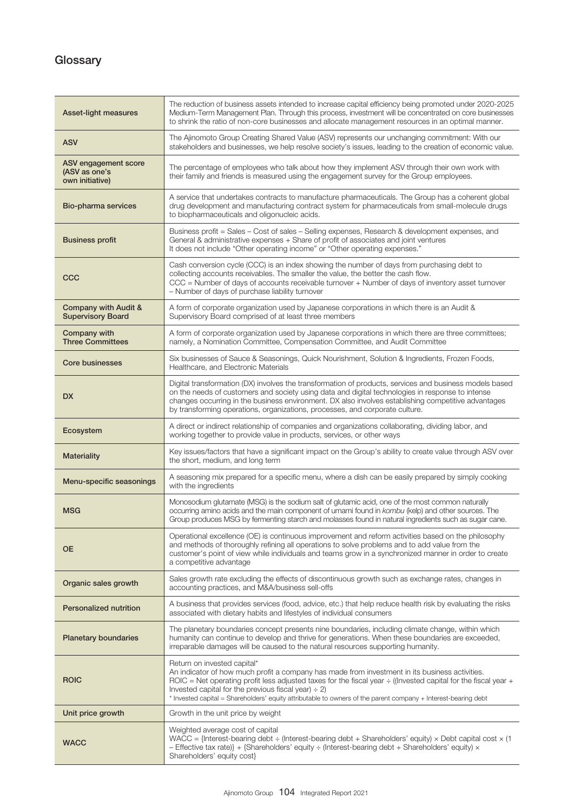# **Glossary**

| Asset-light measures                                     | The reduction of business assets intended to increase capital efficiency being promoted under 2020-2025<br>Medium-Term Management Plan. Through this process, investment will be concentrated on core businesses<br>to shrink the ratio of non-core businesses and allocate management resources in an optimal manner.                                                                                                             |
|----------------------------------------------------------|------------------------------------------------------------------------------------------------------------------------------------------------------------------------------------------------------------------------------------------------------------------------------------------------------------------------------------------------------------------------------------------------------------------------------------|
| <b>ASV</b>                                               | The Ajinomoto Group Creating Shared Value (ASV) represents our unchanging commitment: With our<br>stakeholders and businesses, we help resolve society's issues, leading to the creation of economic value.                                                                                                                                                                                                                        |
| ASV engagement score<br>(ASV as one's<br>own initiative) | The percentage of employees who talk about how they implement ASV through their own work with<br>their family and friends is measured using the engagement survey for the Group employees.                                                                                                                                                                                                                                         |
| Bio-pharma services                                      | A service that undertakes contracts to manufacture pharmaceuticals. The Group has a coherent global<br>drug development and manufacturing contract system for pharmaceuticals from small-molecule drugs<br>to biopharmaceuticals and oligonucleic acids.                                                                                                                                                                           |
| <b>Business profit</b>                                   | Business profit = Sales - Cost of sales - Selling expenses, Research & development expenses, and<br>General & administrative expenses + Share of profit of associates and joint ventures<br>It does not include "Other operating income" or "Other operating expenses."                                                                                                                                                            |
| CCC                                                      | Cash conversion cycle (CCC) is an index showing the number of days from purchasing debt to<br>collecting accounts receivables. The smaller the value, the better the cash flow.<br>CCC = Number of days of accounts receivable turnover + Number of days of inventory asset turnover<br>- Number of days of purchase liability turnover                                                                                            |
| Company with Audit &<br><b>Supervisory Board</b>         | A form of corporate organization used by Japanese corporations in which there is an Audit &<br>Supervisory Board comprised of at least three members                                                                                                                                                                                                                                                                               |
| <b>Company with</b><br><b>Three Committees</b>           | A form of corporate organization used by Japanese corporations in which there are three committees;<br>namely, a Nomination Committee, Compensation Committee, and Audit Committee                                                                                                                                                                                                                                                 |
| <b>Core businesses</b>                                   | Six businesses of Sauce & Seasonings, Quick Nourishment, Solution & Ingredients, Frozen Foods,<br>Healthcare, and Electronic Materials                                                                                                                                                                                                                                                                                             |
| <b>DX</b>                                                | Digital transformation (DX) involves the transformation of products, services and business models based<br>on the needs of customers and society using data and digital technologies in response to intense<br>changes occurring in the business environment. DX also involves establishing competitive advantages<br>by transforming operations, organizations, processes, and corporate culture.                                 |
| Ecosystem                                                | A direct or indirect relationship of companies and organizations collaborating, dividing labor, and<br>working together to provide value in products, services, or other ways                                                                                                                                                                                                                                                      |
| <b>Materiality</b>                                       | Key issues/factors that have a significant impact on the Group's ability to create value through ASV over<br>the short, medium, and long term                                                                                                                                                                                                                                                                                      |
| Menu-specific seasonings                                 | A seasoning mix prepared for a specific menu, where a dish can be easily prepared by simply cooking<br>with the ingredients                                                                                                                                                                                                                                                                                                        |
| <b>MSG</b>                                               | Monosodium glutamate (MSG) is the sodium salt of glutamic acid, one of the most common naturally<br>occurring amino acids and the main component of umami found in kombu (kelp) and other sources. The<br>Group produces MSG by fermenting starch and molasses found in natural ingredients such as sugar cane.                                                                                                                    |
| <b>OE</b>                                                | Operational excellence (OE) is continuous improvement and reform activities based on the philosophy<br>and methods of thoroughly refining all operations to solve problems and to add value from the<br>customer's point of view while individuals and teams grow in a synchronized manner in order to create<br>a competitive advantage                                                                                           |
| Organic sales growth                                     | Sales growth rate excluding the effects of discontinuous growth such as exchange rates, changes in<br>accounting practices, and M&A/business sell-offs                                                                                                                                                                                                                                                                             |
| <b>Personalized nutrition</b>                            | A business that provides services (food, advice, etc.) that help reduce health risk by evaluating the risks<br>associated with dietary habits and lifestyles of individual consumers                                                                                                                                                                                                                                               |
| <b>Planetary boundaries</b>                              | The planetary boundaries concept presents nine boundaries, including climate change, within which<br>humanity can continue to develop and thrive for generations. When these boundaries are exceeded,<br>irreparable damages will be caused to the natural resources supporting humanity.                                                                                                                                          |
| <b>ROIC</b>                                              | Return on invested capital*<br>An indicator of how much profit a company has made from investment in its business activities.<br>ROIC = Net operating profit less adjusted taxes for the fiscal year $\div$ ((Invested capital for the fiscal year +<br>Invested capital for the previous fiscal year) $\div$ 2)<br>* Invested capital = Shareholders' equity attributable to owners of the parent company + Interest-bearing debt |
| Unit price growth                                        | Growth in the unit price by weight                                                                                                                                                                                                                                                                                                                                                                                                 |
| <b>WACC</b>                                              | Weighted average cost of capital<br>WACC = {Interest-bearing debt ÷ (Interest-bearing debt + Shareholders' equity) × Debt capital cost $\times$ (1<br>- Effective tax rate) + {Shareholders' equity $\div$ (Interest-bearing debt + Shareholders' equity) $\times$<br>Shareholders' equity cost}                                                                                                                                   |